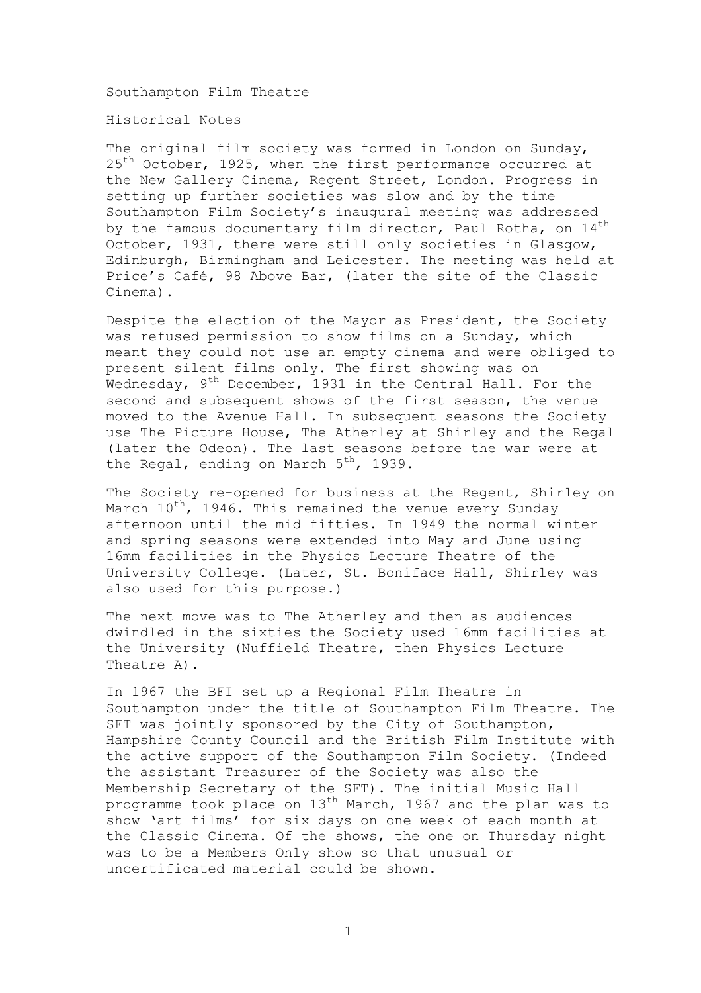Southampton Film Theatre

Historical Notes

The original film society was formed in London on Sunday, 25<sup>th</sup> October, 1925, when the first performance occurred at the New Gallery Cinema, Regent Street, London. Progress in setting up further societies was slow and by the time Southampton Film Society's inaugural meeting was addressed by the famous documentary film director, Paul Rotha, on 14<sup>th</sup> October, 1931, there were still only societies in Glasgow, Edinburgh, Birmingham and Leicester. The meeting was held at Price's Café, 98 Above Bar, (later the site of the Classic Cinema).

Despite the election of the Mayor as President, the Society was refused permission to show films on a Sunday, which meant they could not use an empty cinema and were obliged to present silent films only. The first showing was on Wednesday,  $9^{th}$  December, 1931 in the Central Hall. For the second and subsequent shows of the first season, the venue moved to the Avenue Hall. In subsequent seasons the Society use The Picture House, The Atherley at Shirley and the Regal (later the Odeon). The last seasons before the war were at the Regal, ending on March  $5^{th}$ , 1939.

The Society re-opened for business at the Regent, Shirley on March  $10^{th}$ , 1946. This remained the venue every Sunday afternoon until the mid fifties. In 1949 the normal winter and spring seasons were extended into May and June using 16mm facilities in the Physics Lecture Theatre of the University College. (Later, St. Boniface Hall, Shirley was also used for this purpose.)

The next move was to The Atherley and then as audiences dwindled in the sixties the Society used 16mm facilities at the University (Nuffield Theatre, then Physics Lecture Theatre A).

In 1967 the BFI set up a Regional Film Theatre in Southampton under the title of Southampton Film Theatre. The SFT was jointly sponsored by the City of Southampton, Hampshire County Council and the British Film Institute with the active support of the Southampton Film Society. (Indeed the assistant Treasurer of the Society was also the Membership Secretary of the SFT). The initial Music Hall programme took place on 13<sup>th</sup> March, 1967 and the plan was to show 'art films' for six days on one week of each month at the Classic Cinema. Of the shows, the one on Thursday night was to be a Members Only show so that unusual or uncertificated material could be shown.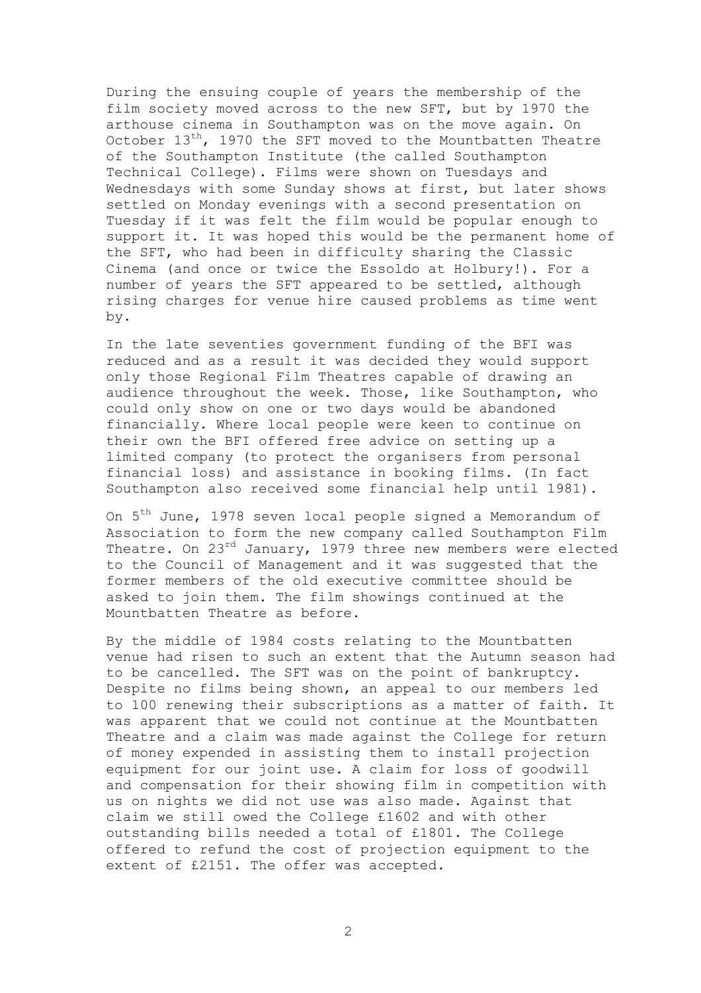During the ensuing couple of years the membership of the film society moved across to the new SFT, but by 1970 the arthouse cinema in Southampton was on the move again. On October 13<sup>th</sup>, 1970 the SFT moved to the Mountbatten Theatre of the Southampton Institute (the called Southampton Technical College). Films were shown on Tuesdays and Wednesdays with some Sunday shows at first, but later shows settled on Monday evenings with a second presentation on Tuesday if it was felt the film would be popular enough to support it. It was hoped this would be the permanent home of the SFT, who had been in difficulty sharing the Classic Cinema (and once or twice the Essoldo at Holbury!). For a number of years the SFT appeared to be settled, although rising charges for venue hire caused problems as time went by.

In the late seventies government funding of the BFI was reduced and as a result it was decided they would support only those Regional Film Theatres capable of drawing an audience throughout the week. Those, like Southampton, who could only show on one or two days would be abandoned financially. Where local people were keen to continue on their own the BFI offered free advice on setting up a limited company (to protect the organisers from personal financial loss) and assistance in booking films. (In fact Southampton also received some financial help until 1981).

On 5th June, 1978 seven local people signed a Memorandum of Association to form the new company called Southampton Film Theatre. On 23<sup>rd</sup> January, 1979 three new members were elected to the Council of Management and it was suggested that the former members of the old executive committee should be asked to join them. The film showings continued at the Mountbatten Theatre as before.

By the middle of 1984 costs relating to the Mountbatten venue had risen to such an extent that the Autumn season had to be cancelled. The SFT was on the point of bankruptcy. Despite no films being shown, an appeal to our members led to 100 renewing their subscriptions as a matter of faith. It was apparent that we could not continue at the Mountbatten Theatre and a claim was made against the College for return of money expended in assisting them to install projection equipment for our joint use. A claim for loss of goodwill and compensation for their showing film in competition with us on nights we did not use was also made. Against that claim we still owed the College £1602 and with other outstanding bills needed a total of £1801. The College offered to refund the cost of projection equipment to the extent of £2151. The offer was accepted.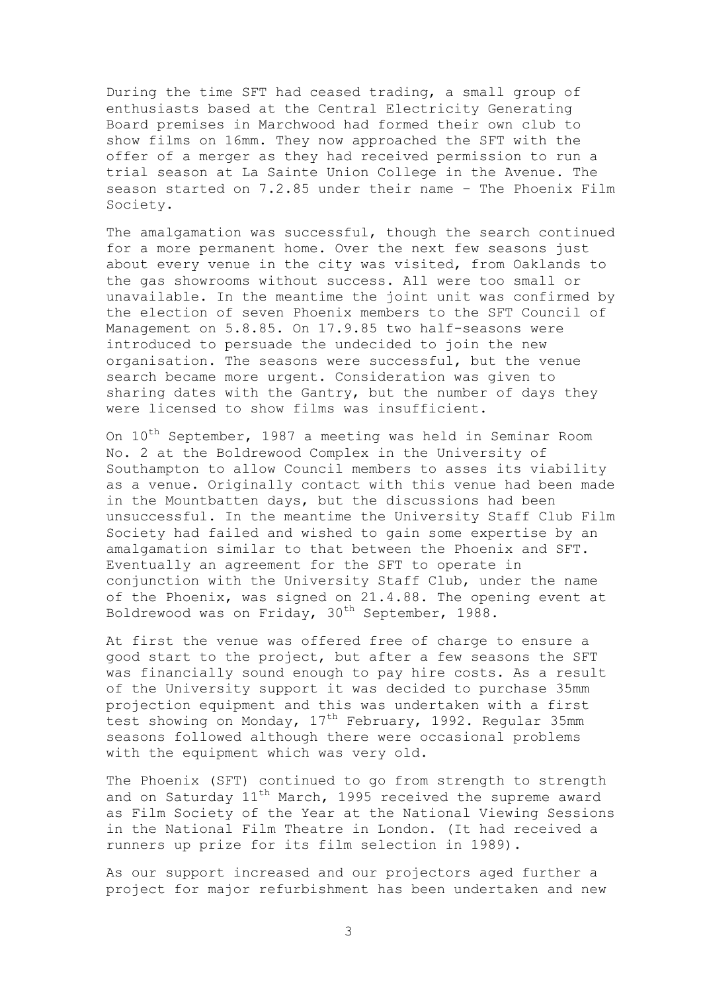During the time SFT had ceased trading, a small group of enthusiasts based at the Central Electricity Generating Board premises in Marchwood had formed their own club to show films on 16mm. They now approached the SFT with the offer of a merger as they had received permission to run a trial season at La Sainte Union College in the Avenue. The season started on 7.2.85 under their name – The Phoenix Film Society.

The amalgamation was successful, though the search continued for a more permanent home. Over the next few seasons just about every venue in the city was visited, from Oaklands to the gas showrooms without success. All were too small or unavailable. In the meantime the joint unit was confirmed by the election of seven Phoenix members to the SFT Council of Management on 5.8.85. On 17.9.85 two half-seasons were introduced to persuade the undecided to join the new organisation. The seasons were successful, but the venue search became more urgent. Consideration was given to sharing dates with the Gantry, but the number of days they were licensed to show films was insufficient.

On  $10^{th}$  September, 1987 a meeting was held in Seminar Room No. 2 at the Boldrewood Complex in the University of Southampton to allow Council members to asses its viability as a venue. Originally contact with this venue had been made in the Mountbatten days, but the discussions had been unsuccessful. In the meantime the University Staff Club Film Society had failed and wished to gain some expertise by an amalgamation similar to that between the Phoenix and SFT. Eventually an agreement for the SFT to operate in conjunction with the University Staff Club, under the name of the Phoenix, was signed on 21.4.88. The opening event at Boldrewood was on Friday, 30<sup>th</sup> September, 1988.

At first the venue was offered free of charge to ensure a good start to the project, but after a few seasons the SFT was financially sound enough to pay hire costs. As a result of the University support it was decided to purchase 35mm projection equipment and this was undertaken with a first test showing on Monday, 17<sup>th</sup> February, 1992. Regular 35mm seasons followed although there were occasional problems with the equipment which was very old.

The Phoenix (SFT) continued to go from strength to strength and on Saturday  $11<sup>th</sup>$  March, 1995 received the supreme award as Film Society of the Year at the National Viewing Sessions in the National Film Theatre in London. (It had received a runners up prize for its film selection in 1989).

As our support increased and our projectors aged further a project for major refurbishment has been undertaken and new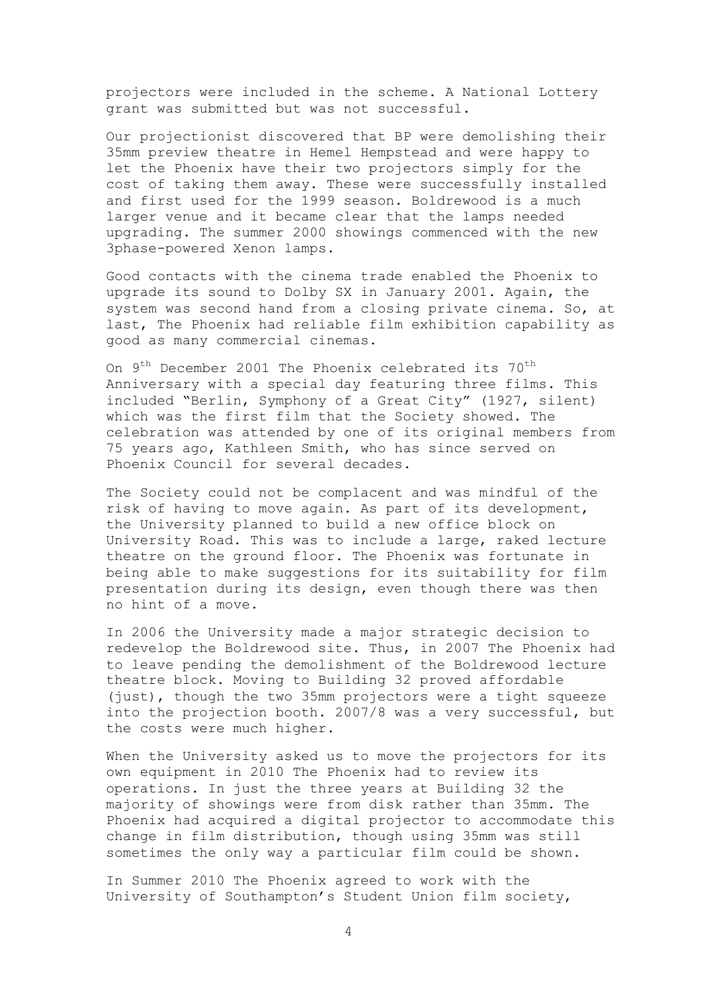projectors were included in the scheme. A National Lottery grant was submitted but was not successful.

Our projectionist discovered that BP were demolishing their 35mm preview theatre in Hemel Hempstead and were happy to let the Phoenix have their two projectors simply for the cost of taking them away. These were successfully installed and first used for the 1999 season. Boldrewood is a much larger venue and it became clear that the lamps needed upgrading. The summer 2000 showings commenced with the new 3phase-powered Xenon lamps.

Good contacts with the cinema trade enabled the Phoenix to upgrade its sound to Dolby SX in January 2001. Again, the system was second hand from a closing private cinema. So, at last, The Phoenix had reliable film exhibition capability as good as many commercial cinemas.

On 9<sup>th</sup> December 2001 The Phoenix celebrated its 70<sup>th</sup> Anniversary with a special day featuring three films. This included "Berlin, Symphony of a Great City" (1927, silent) which was the first film that the Society showed. The celebration was attended by one of its original members from 75 years ago, Kathleen Smith, who has since served on Phoenix Council for several decades.

The Society could not be complacent and was mindful of the risk of having to move again. As part of its development, the University planned to build a new office block on University Road. This was to include a large, raked lecture theatre on the ground floor. The Phoenix was fortunate in being able to make suggestions for its suitability for film presentation during its design, even though there was then no hint of a move.

In 2006 the University made a major strategic decision to redevelop the Boldrewood site. Thus, in 2007 The Phoenix had to leave pending the demolishment of the Boldrewood lecture theatre block. Moving to Building 32 proved affordable (just), though the two 35mm projectors were a tight squeeze into the projection booth. 2007/8 was a very successful, but the costs were much higher.

When the University asked us to move the projectors for its own equipment in 2010 The Phoenix had to review its operations. In just the three years at Building 32 the majority of showings were from disk rather than 35mm. The Phoenix had acquired a digital projector to accommodate this change in film distribution, though using 35mm was still sometimes the only way a particular film could be shown.

In Summer 2010 The Phoenix agreed to work with the University of Southampton's Student Union film society,